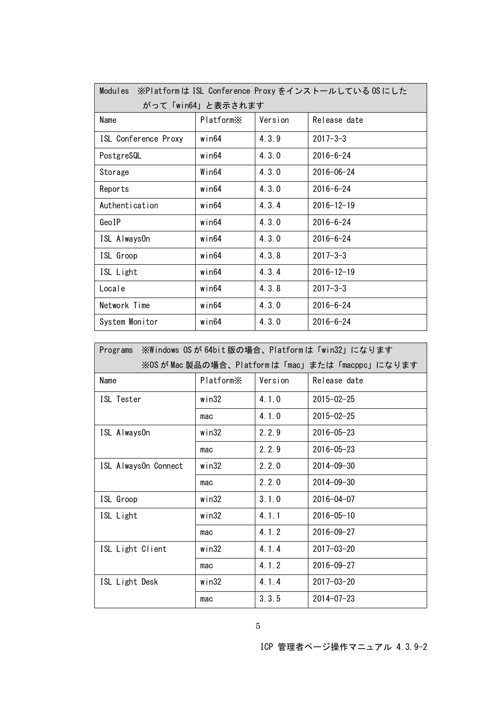| Modules<br>※Platformは ISL Conference Proxy をインストールしている OS にした |                       |         |                  |  |  |  |
|---------------------------------------------------------------|-----------------------|---------|------------------|--|--|--|
| がって「win64」と表示されます                                             |                       |         |                  |  |  |  |
| Name                                                          | Platform <sup>×</sup> | Version | Release date     |  |  |  |
| ISL Conference Proxy                                          | win64                 | 4.3.9   | $2017 - 3 - 3$   |  |  |  |
| PostgreSQL                                                    | win64                 | 4.3.0   | $2016 - 6 - 24$  |  |  |  |
| Storage                                                       | Win64                 | 4.3.0   | $2016 - 06 - 24$ |  |  |  |
| Reports                                                       | win64                 | 4, 3, 0 | $2016 - 6 - 24$  |  |  |  |
| Authentication                                                | win64                 | 4.3.4   | $2016 - 12 - 19$ |  |  |  |
| GeoIP                                                         | win64                 | 4, 3, 0 | $2016 - 6 - 24$  |  |  |  |
| ISL AlwaysOn                                                  | win64                 | 4.3.0   | $2016 - 6 - 24$  |  |  |  |
| ISL Groop                                                     | win64                 | 4.3.8   | $2017 - 3 - 3$   |  |  |  |
| ISL Light                                                     | win64                 | 4.3.4   | $2016 - 12 - 19$ |  |  |  |
| Locale                                                        | win64                 | 4.3.8   | $2017 - 3 - 3$   |  |  |  |
| Network Time                                                  | $w$ in $64$           | 4.3.0   | $2016 - 6 - 24$  |  |  |  |
| System Monitor                                                | win64                 | 4, 3, 0 | $2016 - 6 - 24$  |  |  |  |

| ※Windows OSが64bit版の場合、Platformは「win32」になります<br>Programs |           |         |                  |  |  |  |
|---------------------------------------------------------|-----------|---------|------------------|--|--|--|
| ※OS が Mac 製品の場合、Platformは「mac」または「macppc」になります          |           |         |                  |  |  |  |
| Name                                                    | PlatformX | Version | Release date     |  |  |  |
| ISL Tester                                              | win32     | 4.1.0   | $2015 - 02 - 25$ |  |  |  |
|                                                         | mac       | 4.1.0   | $2015 - 02 - 25$ |  |  |  |
| ISL AlwaysOn                                            | win32     | 2.2.9   | $2016 - 05 - 23$ |  |  |  |
|                                                         | mac       | 2.2.9   | $2016 - 05 - 23$ |  |  |  |
| ISL AlwaysOn Connect                                    | $w$ in32  | 2.2.0   | $2014 - 09 - 30$ |  |  |  |
|                                                         | mac       | 2.2.0   | $2014 - 09 - 30$ |  |  |  |
| ISL Groop                                               | win32     | 3.1.0   | $2016 - 04 - 07$ |  |  |  |
| ISL Light                                               | win32     | 4.1.1   | $2016 - 05 - 10$ |  |  |  |
|                                                         | mac       | 4.1.2   | $2016 - 09 - 27$ |  |  |  |
| ISL Light Client                                        | win32     | 4.1.4   | $2017 - 03 - 20$ |  |  |  |
|                                                         | mac       | 4.1.2   | $2016 - 09 - 27$ |  |  |  |
| ISL Light Desk                                          | win32     | 4.1.4   | $2017 - 03 - 20$ |  |  |  |
|                                                         | mac       | 3.3.5   | $2014 - 07 - 23$ |  |  |  |

ICP 管理者ページ操作マニュアル 4.3.9-2